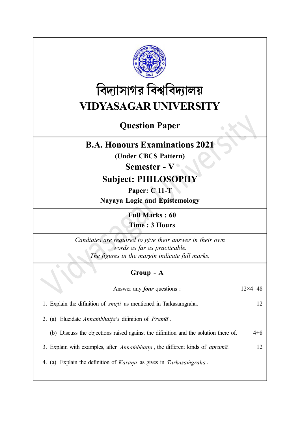

# বিদ্যাসাগর বিশ্ববিদ্যালয় VIDYASAGAR UNIVERSITY

## Question Paper

#### B.A. Honours Examinations 2021

(Under CBCS Pattern)

Semester - V

### Subject: PHILOSOPHY

Paper: C 11-T Nayaya Logic and Epistemology

> Full Marks : 60 Time : 3 Hours

Candiates are required to give their answer in their own words as far as practicable. The figures in the margin indicate full marks.

#### Group - A

Answer any *four* questions :  $12 \times 4 = 48$ 

1. Explain the difinition of *smrti* as mentioned in Tarkasamgraha. 12 İ,

2. (a) Elucidate Annambhatta's difinition of Prama. T.

(b) Discuss the objections raised against the difinition and the solution there of. 4+8

3. Explain with examples, after  $Annambhatta$ , the different kinds of  $apram\bar{a}$ . 12 ii.

4. (a) Explain the definition of  $K\overline{a}r$  as gives in Tarkasamgraha. Ì.